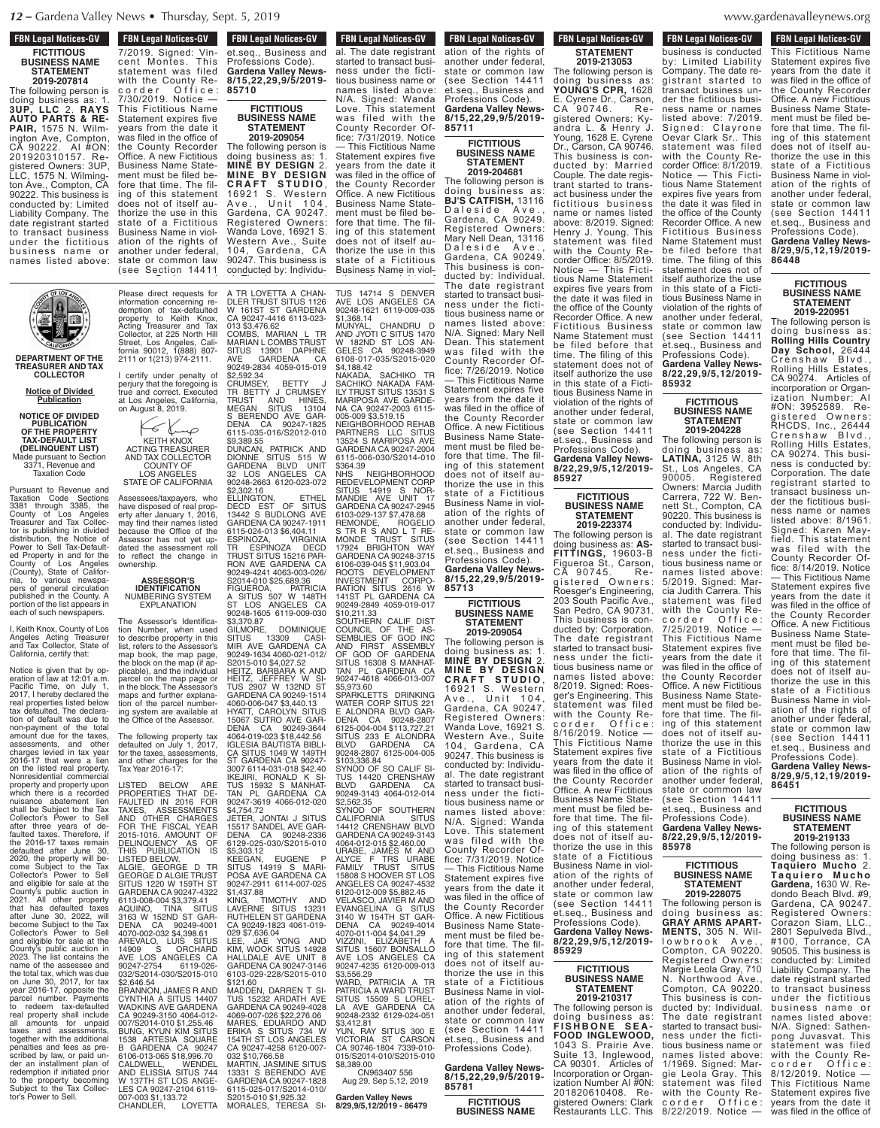### **FBN Legal Notices-GV FICTITIOUS BUSINESS NAME STATEMENT 2019-207814**

The following person is doing business as: 1. **3UP, LLC** 2. **RAYS AUTO PARTS & RE-PAIR,** 1575 N. Wilmington Ave, Compton, CA 90222. AI #ON: 201920310157. Registered Owners: 3UP, LLC, 1575 N. Wilmington Ave., Compton, CA 90222. This business is conducted by: Limited Liability Company. The date registrant started to transact business under the fictitious business name or names listed above:



cent Montes. This is a straight of the state of the state of the state of the state of the state of the state of the state of the state of the state of the state of the state of the state of the state of the state of the s

**DEPARTMENT OF THE TREASURER AND TAX** COLLECTOR

**Notice of Divided Publication** Notice of Divided<br>Dublisation

**NOTICE OF DIVIDED PUBLICATION OF THE PROPERTY TAX-DEFAULT LIST (DELINQUENT LIST)** Made pursuant to Section<br>3371, Revenue and ss/ i, Heverlue and<br>Taxation Code notice of bribes<br>PUBLICATION OF THE PROPERTY TAX-DEFAULT LIST Business (DELINQUENT LIST)

rexerved over

Pursuant to Revenue and Taxation Code Sections 3381 through 3385, the County of Los Angeles Treasurer and Tax Collector is publishing in divided distribution, the Notice of Power to Sell Tax-Defaulted Property in and for the County of Los Angeles (County), State of Califor-nia, to various newspapers of general circulation published in the County. A portion of the list appears in each of such newspapers. Pursuant to Revenue and Taxation Code Sections 3381 through 3385, the<br>County of Los Angeles<br>The same and Taylor **Brand Tax Collection**<br>For in publishing in divided ror is pi<br>distribut

I, Keith Knox, County of Los Angeles Acting Treasurer and Tax Collector, State of California, certify that:

Notice is given that by op-eration of law at 12:01 a.m. Pacific Time, on July 1, 2017, I hereby declared the real properties listed below tax defaulted. The declaration of default was due to non-payment of the total amount due for the taxes, assessments, and other charges levied in tax year 2016-17 that were a lien on the listed real property. Nonresidential commercial property and property upon which there is a recorded nuisance abatement lien shall be Subject to the Tax Collector's Power to Sell after three years of defaulted taxes. Therefore, if the 2016-17 taxes remain defaulted after June 30, 2020, the property will be- come Subject to the Tax Collector's Power to Sell and eligible for sale at the County's public auction in<br>2021. All other property 2021. All other property that has defaulted taxes after June 30, 2022, will become Subject to the Tax Collector's Power to Sell and eligible for sale at the County's public auction in 2023. The list contains the name of the assessee and the total tax, which was due on June 30, 2017, for tax year 2016-17, opposite the parcel number. Payments to redeem tax-defaulted real property shall include all amounts for unpaid taxes and assessments, together with the additional penalties and fees as prescribed by law, or paid un- der an installment plan of redemption if initiated prior to the property becoming Subject to the Tax Collec- tor's Power to Sell.

007-003 \$1,133.72 CHANDLER, LOYETTA

**FBN Legal Notices-GV FON Legal NULLES-GV** 7/2019. Signed: Vin-cent Montes. This statement was filed with the County Recorder Office: 7/30/2019. Notice — This Fictitious Name Statement expires five years from the date it was filed in the office of the County Recorder Office. A new Fictitious Business Name Statement must be filed before that time. The filing of this statement does not of itself authorize the use in this state of a Fictitious **FBN Legal Notices-GV** et.seq., Business and Professions Code). **Gardena Valley News-85710**

**8/15,22,29,9/5/2019- FICTITIOUS BUSINESS NAME STATEMENT**

Business Name in violation of the rights of another under federal, state or common law (see Section 14411 et.seq., Business and **2019-209054** The following person is doing business as: 1. **MINE BY DESIGN** 2. **MINE BY DESIGN C R A F T S T U D I O** , 16921 S. Western Ave., Unit 104, Gardena, CA 90247. Registered Owners: Wanda Love, 16921 S. Western Ave., Suite 104, Gardena, CA 90247. This business is conducted by: Individual. The date registrant

Please direct requests for information concerning re-demption of tax-defaulted property to Keith Knox,<br>Acting Treasurer and Tax<br>Collector, at 225 North Hill<br>Street, Los Angeles, Cali-<br>fornia 90012, 1(888) 807-<br>2111 or 1(213) 974-2111. I certify under penalty of perjury that the foregoing is true and correct. Executed A TR LOYETTA A CHAN-DLER TRUST SITUS 1126 W 161ST ST GARDENA CA 90247-4416 6113-023- 013 \$3,476.62 COMBS, MARIAN L TR MARIAN L COMBS TRUST SITUS 13901 DAPHNE AVE GARDENA CA ness under the fictions of the finest<br>DI FR TRUST SITUS 1126 tious business in the search of the search of the search of the search of the search of the search o CA 90247-4416 6113-023- $013$  \$3,476.62  $\ldots$   $\ldots$ Love. This statement MARIAN L COMBS TRUST<br>SITHS 12001 DADHNE County Recorder Of- $50249 - 2834$  4059-015-019

90249-2834 4059-015-019<br>\$2,592.34<br>CRUMSEY, BETTY J<br>TR BETTY J CRUMSEY TRUST AND HINES,<br>MEGAN SITUS 13104 MEGAN SITUS 13104 S BERENDO AVE GAR-DENA CA 90247-1825 6115-035-016/S2012-010 \$9,389.55 DUNCAN, PATRICK AND DIONNE SITUS 515 W GARDENA BLVD UNIT 32 LOS ANGELES CA 90248-2663 6120-023-072  $$2,592.34$ CRUMSEY, BETTY J TR BETTY J CRUMSEY IRUSI AND HINES,<br>MEOAN OFFIC 19101 MEGAN SILUS 13104<br>SREPENDO AVECAR OFFICATOO AVE CATE  $5115-035-016$ /S2012-010  $$9,389.55$ DUNCAN, PATRICK AND DIONNE SITUS 515 W GARDENA BLVD UNII<br>22 LOS ANGELES CA JZ LUJ ANJELEJ UA<br>90248-2663 6120-023-072

\$2,302.16 ELLINGTON, ETHEL DECD EST OF SITUS 13442 S BUDLONG AVE GARDENA CA 90247-1911 6115-024-013 \$6,404.11<br>ESPINOZA MECINIA ESPINOZA, VIRGINIA<br>TB ESPINOZA DECD TR ESPINOZA DECD TRUST SITUS 15216 PAR-RON AVE GARDENA CA 90249-4241 4063-003-026/ S2014-010 \$25,689.36  $\frac{302402000}{16}$  or a field of a Fig. ELLINGTON, ETHEL DECD EST OF SITUS 13442 S BUDLONG AVE GARDENA CA 90247-1911<br>C115, 004, 019.\$6, 404, 11 Professions Code). **Gardena Valley News-**80249-4241 4063-003-026/<br>S2014-010 \$25,689.36

FIGUEROA, PATRICIA A SITUS 507 W 148TH ST LOS ANGELES CA 90248-1605 6119-009-030

ST GARDENA CA 90247-

3007 6114-031-018 \$42.40 IKEJIRI, RONALD K SI-TUS 15932 S MANHAT-TAN PL GARDENA CA 90247-3619 4066-012-020

JETER, JONTAI J SITUS 15517 SANDEL AVE GAR-DENA CA 90248-2336 6129-025-030/S2015-010

KEEGAN, EUGENE P SITUS 14919 S MARI-POSA AVE GARDENA CA 90247-2911 6114-007-025

LAVERNE SITUS 13231 RUTHELEN ST GARDENA CA 90249-1823 4061-019-

029 \$7,636.04 LEE, JAE YONG AND KIM, WOOK SITUS 14928

HALLDALE AVE UNIT 8 GARDENA CA 90247-3146 6103-029-228/S2015-010

CA 90247-4258 6120-007- 032 \$10,766.58 MARTIN, JASMINE SITUS 13331 S BERENDO AVE GARDENA CA 90247-1828 6115-025-017/S2014-010/ S2015-010 \$1,925.32 MORALES, TERESA SI-

The Assessor's Identification Number, when used to describe property in this list, refers to the Assessor's map book, the map page, the block on the map (if ap-plicable), and the individual parcel on the map page or in the block. The Assessor's maps and further explana-tion of the parcel number- ing system are available at ing system are available at<br>the Office of the Assessor. The following property tax defaulted on July 1, 2017, for the taxes, assessments, \$3,370.87<br>GILMORE, GILMORE, DOMINIQUE SITUS 13309 CASI- MIR AVE GARDENA CA 90249-1634 4060-021-012/ S2015-010 \$4,027.52 HEITZ, BARBARA K AND HEITZ, JEFFREY W SI-TUS 2907 W 132ND ST GARDENA CA 90249-1514 4060-006-047 \$3,440.13 HYATT, CAROLYN SITUS 15067 SUTRO AVE GAR-DENA CA 90249-3644 4064-019-023 \$18,442.56 IGLESIA BAUTISTA BIBLI-CA SITUS 1049 W 149TH

and other charges for the Tax Year 2016-17: LISTED BELOW ARE<br>PROPERTIES THAT DE-<br>FAULTED IN 2016 FOR<br>TAXES, ASSESSMENTS<br>AND 0THER CHARGES

at Los Angeles, California, on August 8, 2019.

Koko

**Fiease unect requests for**<br>information concerning remommation concoming to

*<u>Broperty</u>* 

KEITH KNOX<br>
ACTING TREASURER<br>
AND TAX COLLECTOR<br>
COUNTY OF<br>
LOS ANGELES<br>
STATE OF CALIFORNIA

Assessees/taxpayers, who have disposed of real prop- erty after January 1, 2016, may find their names listed because the Office of the Assessor has not yet up-dated the assessment roll to reflect the change in

**ASSESSOR'S IDENTIFICATION** NUMBERING SYSTEM EXPLANATION

ownership.

FOR THE FISCAL YEAR 2015-1016. AMOUNT OF DELINQUENCY AS OF THIS PUBLICATION IS **LISTED BELOW.** ALGIE, GEORGE D TR GEORGE D ALGIE TRUST SITUS 1220 W 159TH ST \$4,754.72<br>JETER JONTAL J SITUS \$5,303.12<br>KEEGAN.

GARDENA CA 90247-4322 6113-008-004 \$3,379.41 AQUINO, TINA SITUS 3163 W 152ND ST GAR-DENA CA 90249-4001 4070-002-032 \$4,398.61 AREVALO, LUIS SITUS 14909 S ORCHARD \$1,437.88<br>KING T KING, TIMOTHY AND

AVE LOS ANGELES CA 90247-2754 6119-026- 032/S2014-030/S2015-010 \$2,646.54 BRANNON, JAMES R AND

CYNTHIA A SITUS 14407 WADKINS AVE GARDENA CA 90249-3150 4064-012- 007/S2014-010 \$1,255.46 BUNG, KYUN KIM SITUS 1538 ARTESIA SQUARE B GARDENA CA 90247 6106-013-065 \$18,996.70 CALDWELL, WENDEL<br>AND ELISSIA SITUS 744<br>W 137TH ST LOS ANGE-<br>LES CA 90247-2104 6119ness under the fictitious business name or names listed above: N/A. Signed: Wanda Love. This statement was filed with the County Recorder Office: 7/31/2019. Notice — This Fictitious Name Statement expires five years from the date it

was filed in the office of the County Recorder Office. A new Fictitious Business Name Statement must be filed before that time. The filing of this statement does not of itself authorize the use in this state of a Fictitious Business Name in viol-

**FBN Legal Notices-GV** rbn Leyal Nullles-GV al. The date registrant started to transact busi-

TUS 14714 S DENVER AVE LOS ANGELES CA 90248-1621 6119-009-035  $$1,368.14$ TOS THE STOCK OF CA  $(90248-1621)$  6119-009-035

ation of the rights of

MUNYAL, CHANDRU D<br>AND JYOTIC SITUS 1470<br>W 182ND ST LOS AN-<br>GELES CA 90248-3949<br>6108-017-035/S2015-020 MUNYAL, CHANDRU D<br>AND JYOTI C SITUS 1470 **8/2010 ST LOS AN-**<br>CELES CA 00048-9040 **BELES**<br>6109.01

\$4,188.42 NAKADA, SACHIKO TR SACHIKO NAKADA FAM-ILY TRUST SITUS 13531 S MARIPOSA AVE GARDE-NA CA 90247-2003 6115- 005-009 \$3,519.15 NEIGHBORHOOD REHAB

PARTNERS LLC SITUS 13524 S MARIPOSA AVE GARDENA CA 90247-2004 6115-006-030/S2014-010

\$364.39 NHS NEIGHBORHOOD REDEVELOPMENT CORP SITUS 14919 S NOR-<br>MANDIE AVE UNIT 17<br>GARDENA CA 90247-2945<br>6103-029-137 \$7,478.68<br>REMONDE, ROGELIO<br>S TR S AND L TRE-<br>MONDE TRUST SITUS 17924 BRIGHTON WAY<br>GARDENA CA 90248-3715<br>6106-039-045 \$11,903.04<br>ROOTS DEVELOPMENT<br>INVESTMENT CORPO-INVESTMENT CORPO-<br>RATION SITUS 2616 W 141ST PL GARDENA CA 90249-2849 4059-019-017

\$10,211.33 SOUTHERN CALIF DIST COUNCIL OF THE AS-SEMBLIES OF GOD INC AND FIRST ASSEMBLY OF GOD OF GARDENA SITUS 16308 S MANHAT-TAN PL GARDENA CA 00247-4618 4066-013-007

\$5,973.60 SPARKLETTS DRINKING WATER CORP SITUS 221 E ALONDRA BLVD GAR-DENA CA 90248-2807 6125-004-004 \$113,727.21 SITUS 233 E ALONDRA BLVD GARDENA CA 90248-2807 6125-004-005 \$103,336.84 SYNOD OF SO CALIF SI-

TUS 14420 CRENSHAW BLVD GARDENA CA 90249-3143 4064-012-014

\$2,562.35 SYNOD OF SOUTHERN CALIFORNIA<br>
14412 CRENSHAW BLVD<br>
4064-012-015 \$2,460.00<br>
4064-012-015 \$2,460.00<br>
URABE, JAMES M AND<br>
ALYCE F TRS URABE<br>
FAMILY TRUST SITUS<br>
15808 S HOOVER ST LOS<br>
15808 SHOOVER ST LOS<br>
ANGELES CA 90247-4532 6120-012-009 \$5,882.45 VELASCO, JAVIER M AND EVANGELINA G SITUS<br>3140 W 154TH ST GAR-<br>DENA CA 90249-4014<br>4070-011-004 \$4,041.29<br>VIZZINI, ELIZABETH A<br>SITUS 15607 BONSALLO AVE LOS ANGELES CA 90247-4235 6120-009-013 \$3,556.29 WARD, PATRICIA A TR PATRICIA A WARD TRUST

\$121.60<br>MADDEN, DARREN T SI-MADDEN, DARREN T SI-<br>TUS 15232 ARDATH AVE<br>GARDENA CA 90249-4028<br>4069-007-026 \$22,276.06<br>MARES, EDUARDO AND ERIKA S SITUS 734 W 154TH ST LOS ANGELES SITUS 15509 S LOREL-LA AVE GARDENA CA 90248-2332 6129-024-051 \$3,412.81

YUN, RAY SITUS 300 E VICTORIA ST CARSON CA 90746-1804 7339-010- 015/S2014-010/S2015-010 \$8,389.00 CN963407 556

Aug 29, Sep 5,12, 2019

**Garden Valley News 8/29,9/5,12/2019 - 86479**

**FBN Legal Notices-GV FBN LEYAI NUMES-GV** ation of the rights of another under federal, **FBN Legal Notices-GV FICTITIOUS BUSINESS NAME STATEMENT 2019-213053**

(see Section 14411

**FICTITIOUS BUSINESS NAME STATEMENT 2019-204681**

This business is con-

names listed above:

ing of this statement does not of itself authorize the use in this state of a Fictitious Business Name in violation of the rights of another under federal, state or common law (see Section 14411 et.seq., Business and Professions Code). **Gardena Valley News-8/15,22,29,9/5/2019- 85713**

Professions Code).

**85711**

state or common law et.seq., Business and **Gardena Valley News-8/15,22,29,9/5/2019-** The following person is doing business as: **BJ'S CATFISH,** 13116 Daleside Ave., Gardena, CA 90249. Registered Owners: Mary Nell Dean, 13116 Daleside Ave., Gardena, CA 90249. ducted by: Individual. The date registrant started to transact business under the fictitious business name or N/A. Signed: Mary Nell Dean. This statement was filed with the County Recorder Office: 7/26/2019. Notice — This Fictitious Name Statement expires five years from the date it was filed in the office of the County Recorder Office. A new Fictitious Business Name Statement must be filed before that time. The fil-The following person is doing business as: **YOUNG'S CPR,** 1628 E. Cyrene Dr., Carson, CA 90746. Registered Owners: Kyandra L. & Henry J. Young, 1628 E. Cyrene Dr., Carson, CA 90746. This business is conducted by: Married Couple. The date registrant started to transact business under the fi c titious bus ines s name or names listed above: 8/2019. Signed: Henry J. Young. This statement was filed with the County Recorder Office: 8/5/2019. Notice — This Fictitious Name Statement expires five years from the date it was filed in the office of the County Recorder Office. A new Fictitious Business Name Statement must be filed before time. The filing of this statement does not of itself authorize the use in this state of a Fictitious Business Name in violation of the rights of another under federal, state or common law (see Section 14411 et.seq., Business and

Professions Code). **Gardena Valley News-8/22,29,9/5,12/2019- 85927**

### **FICTITIOUS BUSINESS NAME STATEMENT 2019-223374**

The following person is doing business as: **AS-FITTINGS,** 19603-B Figueroa St., Carson, CA 90745. Registered Owners: Roesger's Engineering, 203 South Pacific Ave., San Pedro, CA 90731. This business is conducted by: Corporation. The date registrant started to transact business under the fictitious business name or names listed above: 8/2019. Signed: Roesger's Engineering. This statement was filed with the County Re-<br>corder Office:  $O$  f f i c e : 8/16/2019. Notice — This Fictitious Name Statement expires five years from the date it was filed in the office of the County Recorder Office. A new Fictitious Business Name Statement must be filed before that time. The fil-ing of this statement does not of itself authorize the use in this state of a Fictitious Business Name in violation of the rights of another under federal, state or common law (see Section 14411 et.seq., Business and Professions Code). **Gardena Valley News-8/22,29,9/5,12/2019- 85929**

### **FICTITIOUS BUSINESS NAME STATEMENT 2019-210317**

The following person is doing business as: **F I S H B O N E S E A - FOOD INGLEWOOD,** 1043 S. Prairie Ave. Suite 13, Inglewood, CA 90301. Articles of Incorporation or Organization Number AI #0N: 201820610408. Registered Owners: Clark Restaurants LLC. This business is conducted

#### ization www.ga  $\ldots$   $\ldots$   $\ldots$   $\ldots$ denavalleynews.org  $arctan <sub>1</sub>$  re-nord  $\overline{c}$

**FBN Legal Notices-GV Response Legal Multiples-GV** business is conducted by: Limited Liability Company. The date registrant started to transact business under the fictitious business name or names listed above: 7/2019. signed: Clayrone Oevar Clark Sr.. This statement was filed with the County Recorder Office: 8/1/2019. Notice — This Fictitious Name Statement expires five years from the date it was filed in the office of the County Recorder Office. A new Fictitious Business Name Statement must be filed before that time. The filing of this statement does not of itself authorize the use in this state of a Fictitious Business Name in violation of the rights of another under federal, state or common law (see Section 14411 et.seq., Business and Professions Code). **8/29,9/5,12,19/2019- 86448** The following person is

### **FICTITIOUS BUSINESS NAME STATEMENT 2019-204228**

**Gardena Valley News-8/22,29,9/5,12/2019-**

**85932**

The following person is doing business as: **LATINA,** 3125 W. 8th St., Los Angeles, CA 90005. Registered Owners: Marcia Judith Carrera, 722 W. Bennett St., Compton, CA 90220. This business is conducted by: Individual. The date registrant started to transact business under the fictitious business name or names listed above: 5/2019. Signed: Marcia Judith Carrera. This statement was filed with the County Rec o r d e r O f f i c e : 7/25/2019. Notice — This Fictitious Name Statement expires five years from the date it was filed in the office of<br>the County Recorder County Recorder Office. A new Fictitious Business Name Statement must be filed before that time. The filing of this statement does not of itself authorize the use in this state of a Fictitious Business Name in violation of the rights of another under federal, state or common law (see Section 14411 et.seq., Business and Professions Code). **Gardena Valley News-8/22,29,9/5,12/2019-**

**FICTITIOUS BUSINESS NAME STATEMENT 2019-228075** The following person is doing business as: **GRAY ARMS APART-MENTS,** 305 N. Willowbrook Ave., Compton, CA 90220. Registered Owners: Margie Leola Gray, 710 N. Northwood Ave., Compton, CA 90220. This business is conducted by: Individual. The date registrant started to transact business under the fictitious business name or names listed above: 1/1969. Signed: Margie Leola Gray. This statement was filed with the County Recorder Office: 8/22/2019. Notice —

**85978**

**FBN Legal Notices-GV FON Legal Notices-GV** This Fictitious Name Statement expires five years from the date it was filed in the office of the County Recorder Office. A new Fictitious Business Name Statement must be filed before that time. The filing of this statement does not of itself authorize the use in this state of a Fictitious Business Name in violation of the rights of another under federal, state or common law (see Section 14411 et.seq., Business and Professions Code). **Gardena Valley News-**

### **FICTITIOUS BUSINESS NAME STATEMENT 2019-220951**

doing business as: **Rolling Hills Country Day School,** 26444 Crenshaw Blvd., Rolling Hills Estates, CA 90274. Articles of incorporation or Organization Number: AI #ON: 3952589. Registered Owners: RHCDS, Inc., 26444 Crenshaw Blvd., Rolling Hills Estates, CA 90274. This business is conducted by: Corporation. The date registrant started to transact business under the fictitious business name or names listed above: 8/1961. Signed: Karen Mayfield. This statement was filed with the County Recorder Office: 8/14/2019. Notice — This Fictitious Name Statement expires five years from the date it was filed in the office of the County Recorder Office. A new Fictitious Business Name Statement must be filed before that time. The filing of this statement does not of itself authorize the use in this state of a Fictitious Business Name in violation of the rights of another under federal, state or common law (see Section 14411 et.seq., Business and Professions Code). **Gardena Valley News-**

**8/29,9/5,12,19/2019- 86451**

### **FICTITIOUS BUSINESS NAME STATEMENT 2019-219133**

The following person is doing business as: 1. **Taquiero Mucho** 2. **T a q u i e r o M u c h o Gardena,** 1630 W. Redondo Beach Blvd. #9, Gardena, CA 90247. Registered Owners: Corazon Siam, LLC., 2801 Sepulveda Blvd., #100, Torrance, CA 90505. This business is conducted by: Limited Liability Company. date registrant started to transact business under the fictitious business name or names listed above: N/A. Signed: Sathenpong Juvasvat. This statement was filed with the County Recorder Office: 8/12/2019. Notice — This Fictitious Name Statement expires five years from the date it was filed in the office of

names listed above: N/A. Signed: Wanda Love. This statement was filed with the County Recorder Office: 7/31/2019. Notice — This Fictitious Name Statement expires five years from the date it was filed in the office of the County Recorder Office. A new Fictitious Business Name Statement must be filed before that time. The filing of this statement does not of itself authorize the use in this state of a Fictitious Business Name in violation of the rights of another under federal, state or common law (see Section 14411 et.seq., Business and Professions Code).

Gardena, CA 90247. Registered Owners: Wanda Love, 16921 S. Western Ave., Suite 104, Gardena, CA

**Gardena Valley News-8/15,22,29,9/5/2019- 85781**

**FICTITIOUS BUSINESS NAME**

90247. This business is conducted by: Individual. The date registrant started to transact business under the fictitious business name or

**FICTITIOUS BUSINESS NAME STATEMENT 2019-209054** The following person is doing business as: 1. **MINE BY DESIGN** 2. **MINE BY DESIGN C R A F T S T U D I O** , 16921 S. Western Ave., Unit 104,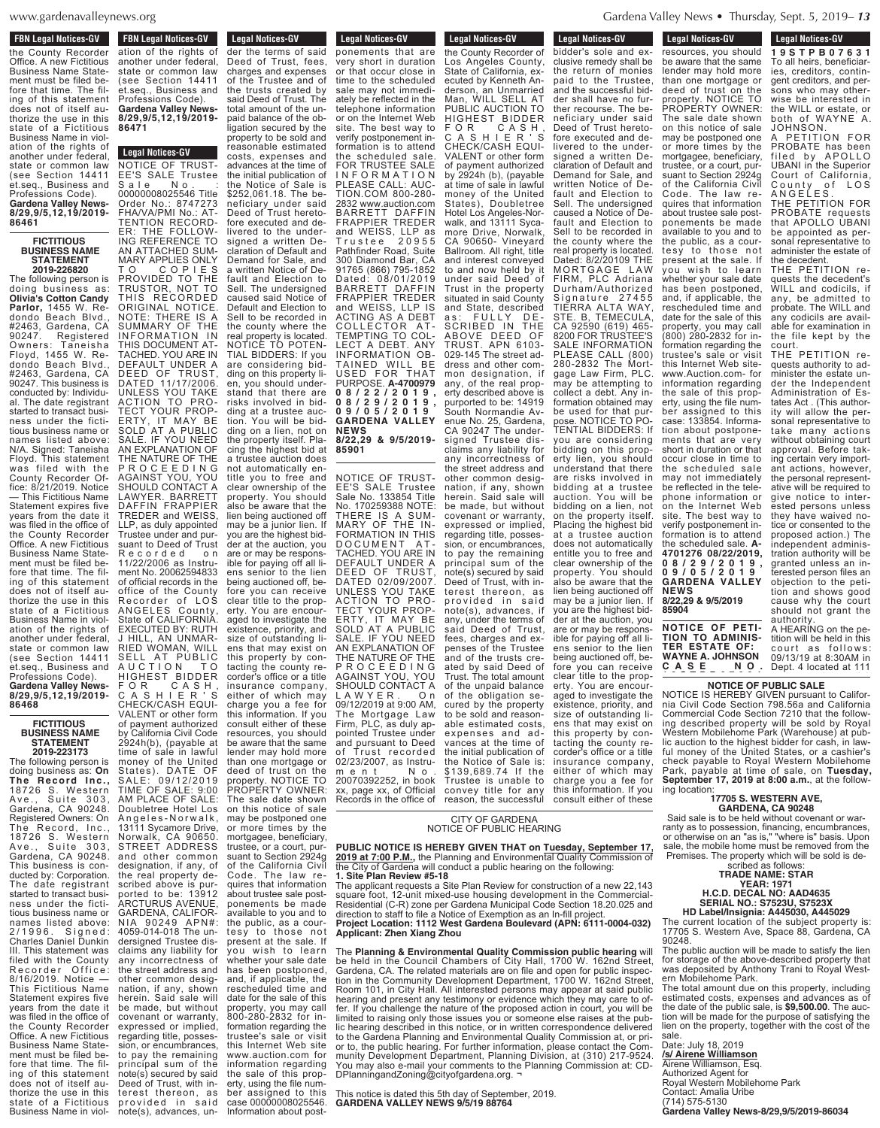# **FBN Legal Notices-GV**

**FILED IN LEGAL INDICES-CIV** the County Recorder Office. A new Fictitious Business Name Statement must be filed before that time. The filing of this statement does not of itself authorize the use in this state of a Fictitious Business Name in violation of the rights of another under federal, state or common law (see Section 14411 et.seq., Business and Professions Code). **Gardena Valley News-8/29,9/5,12,19/2019-**

### **FICTITIOUS BUSINESS NAME STATEMENT**

**86461**

**2019-226820** The following person is doing business as: **Olivia's Cotton Candy Parlor,** 1455 W. Redondo Beach Blvd., #2463, Gardena, CA<br>90247. Registered 90247. Registered Owners: Taneisha Floyd, 1455 W. Redondo Beach Blvd., #2463, Gardena, CA 90247. This business is conducted by: Individual. The date registrant started to transact business under the fictitious business name or names listed above: N/A. Signed: Taneisha<br>Floyd. This statement Floyd. This statement was filed with the County Recorder Office: 8/21/2019. Notice — This Fictitious Name Statement expires five years from the date it was filed in the office of the County Recorder Office. A new Fictitious Business Name Statement must be filed before that time. The filing of this statement does not of itself authorize the use in this state of a Fictitious Business Name in violation of the rights of another under federal, state or common law (see Section 14411 et.seq., Business and Professions Code). **Gardena Valley News-8/29,9/5,12,19/2019- 86468**

### **FICTITIOUS BUSINESS NAME STATEMENT 2019-223173**

The following person is doing business as: **On The Re cord Inc . ,** 18726 S. Western Ave., Suite 303, Gardena, CA 90248. Registered Owners: On The Record, Inc., 18726 S. Western Ave., Suite 303, Gardena, CA 90248. This business is conducted by: Corporation. The date registrant started to transact business under the fictitious business name or names listed above: 2/1996. Signed: Charles Daniel Dunkin III. This statement was filed with the County Recorder Office: 8/16/2019. Notice — This Fictitious Name Statement expires five years from the date it was filed in the office of the County Recorder Office. A new Fictitious Business Name Statement must be filed before that time. The filing of this statement does not of itself authorize the use in this state of a Fictitious Business Name in viol-

sion, or encumbrances, to pay the remaining principal sum of the note(s) secured by said Deed of Trust, with interest thereon, as provided in said note(s), advances, unthis Internet Web site www.auction.com.for information regarding the sale of this property, using the file number assigned to this case 00000008025546. Information about post-

**FBN Legal Notices-GV FUSING THE INCREASE IN VIOLENCE** ation of the rights of another under federal, state or common law (see Section 14411 et.seq., Business and Professions Code). **Gardena Valley News-8/29,9/5,12,19/2019- 86471**

## **Legal Notices-GV**

NOTICE OF TRUST-EE'S SALE Trustee Sale No. : 00000008025546 Title Order No.: 8747273 FHA/VA/PMI No.: AT-TENTION RECORD-ER: THE FOLLOW-ING REFERENCE TO AN ATTACHED SUM-MARY APPLIES ONLY T O C O P I E S PROVIDED TO THE TRUSTOR, NOT TO THIS RECORDED ORIGINAL NOTICE. NOTE: THERE IS A SUMMARY OF THE INFORMATION IN THIS DOCUMENT AT-TACHED. YOU ARE IN DEFAULT UNDER A<br>DEFAULT UNDER A DEED OF TRUST, DATED 11/17/2006. UNLESS YOU TAKE ACTION TO PRO-TECT YOUR PROP-ERTY, IT MAY BE SOLD AT A PUBLIC SOLD AT A POBLIC<br>SALE. IF YOU NEED<br>AN EXPLANATION OF AN EXPLANATION OF THE NATURE OF THE P R O C E E D I N G AGAINST YOU, YOU SHOULD CONTACT A LAWYER. BARRETT DAFFIN FRAPPIER TREDER and WEISS, LLP, as duly appointed Trustee under and pursuant to Deed of Trust Recorded on 11/22/2006 as Instrument No. 20062594833 of official records in the office of the County Recorder of LOS ANGELES County, State of CALIFORNIA. EXECUTED BY: RUTH J HILL, AN UNMAR-RIED WOMAN, WILL SELL AT PUBLIC AUCTION TO HIGHEST BIDDER F O R C A S H , C A S H I E R ' S CHECK/CASH EQUI-VALENT or other form of payment authorized by California Civil Code 2924h(b), (payable at time of sale in lawful money of the United States). DATE OF SALE: 09/12/201 9 TIME OF SALE: 9:00 AM PLACE OF SALE: Doubletree Hotel Los <sup>A</sup> <sup>n</sup> <sup>g</sup> <sup>e</sup> <sup>l</sup> <sup>e</sup> <sup>s</sup> - <sup>N</sup> <sup>o</sup> <sup>r</sup> <sup>w</sup> <sup>a</sup> <sup>l</sup> <sup>k</sup> , <sup>13111</sup> Sycamore Drive, Norwalk, CA 90650. STREET ADDRESS and other common designation, if any, of the real property described above is purported to be: 13912 ARCTURUS AVENUE, GARDENA, CALIFOR-NIA 90249 APN#: 4059-014-018 The undersigned Trustee disclaims any liability for any incorrectness of the street address and other common designation, if any, shown herein. Said sale will be made, but without covenant or warranty, expressed or implied, regarding title, possesreasonable estimated costs, expenses and advances at the time of the initial publication of the Notice of Sale is \$252,061.18. The beneficiary under said Deed of Trust heretofore executed and delivered to the undersigned a written Declaration of Default and Demand for Sale, and a written Notice of Default and Election to Sell. The undersigned caused said Notice of Default and Election to Sell to be recorded in the county where the real property is located. NOTICE TO POTEN-TIAL BIDDERS: If you are considering bidding on this property lien, you should understand that there are risks involved in bidding at a trustee auction. You will be bidding on a lien, not on the property itself. Placing the highest bid at a trustee auction does not automatically entitle you to free and clear ownership of the property. You should also be aware that the lien being auctioned off may be a junior lien. If you are the highest bidder at the auction, you are or may be responsible for paying off all liens senior to the lien being auctioned off, before you can receive clear title to the property. You are encouraged to investigate the existence, priority, and size of outstanding liens that may exist on this property by contacting the county recorder's office or a title insurance company, either of which may charge you a fee for this information. If you consult either of these resources, you should be aware that the same lender may hold more than one mortgage or deed of trust on the property. NOTICE TO PROPERTY OWNER: The sale date shown on this notice of sale may be postponed one or more times by the mortgagee, beneficiary, trustee, or a court, pursuant to Section 2924g of the California Civil Code. The law requires that information about trustee sale postponements be made available to you and to the public, as a cour-<br>tesy to those not tesy to those not present at the sale. If you wish to learn whether your sale date has been postponed, and, if applicable, the rescheduled time and date for the sale of this property, you may call 800-280-2832 for information regarding the trustee's sale or visit

**Legal Notices-GV** notes-under the terms of said Deed of Trust, fees, charges and expenses of the Trustee and of the trusts created by said Deed of Trust. The total amount of the unpaid balance of the obligation secured by the property to be sold and **Legal Notices-GV** Legal Nutices-GV ponements that are very short in duration or that occur close in time to the scheduled sale may not immediately be reflected in the telephone information or on the Internet Web site. The best way to verify postponement information is to attend the scheduled sale. FOR TRUSTEE SALE I N F O R M A T I O N PLEASE CALL: AUC-TION.COM 800-280- 2832 www.auction.com BARRETT DAFFIN FRAPPIER TREDER and WEISS, LLP as Trustee 20955 Pathfinder Road, Suite 300 Diamond Bar, CA 91765 (866) 795-1852 Dated: 08/01/2019 BARRETT DAFFIN FRAPPIER TREDER and WEISS, LLP IS ACTING AS A DEBT COLLECTOR AT-TEMPTING TO COL-LECT A DEBT. ANY INFORMATION OB-TAINED WILL BE USED FOR THAT PURPOSE. **A-4700979 0 8 / 2 2 / 2 0 1 9 , 0 8 / 2 9 / 2 0 1 9 , 0 9 / 0 5 / 2 0 1 9 GARDENA VALLEY NEWS 8/22,29 & 9/5/2019- 85901**

> NOTICE OF TRUST-EE'S SALE Trustee Sale No. 133854 Title No. 170259388 NOTE: THERE IS A SUM-MARY OF THE IN-MART OF THE IN-<br>FORMATION IN THIS<br>DOCUMENT AT-DOCUMENT AT-TACHED. YOU ARE IN DEFAULT UNDER A DEED OF TRUST, DATED 02/09/2007. UNLESS YOU TAKE ACTION TO PRO-TECT YOUR PROP-ERTY, IT MAY BE SOLD AT A PUBLIC SALE. IF YOU NEED AN EXPLANATION OF THE NATURE OF THE P R O C E E D I N G AGAINST YOU, YOU SHOULD CONTACT A L A W Y E R . O n 09/12/2019 at 9:00 AM, The Mortgage Law Firm, PLC, as duly appointed Trustee under and pursuant to Deed<br>of Trust recorded Trust recorded 02/23/2007, as Instru-<br>m e n t N o m e n t N o . 20070392252, in book xx, page xx, of Official Records in the office of the County Recorder of

**Legal Notices-GV Example 10 Report Follows** the County Recorder of Los Angeles County, State of California, executed by Kenneth Anderson, an Unmarried Man, WILL SELL AT PUBLIC AUCTION TO HIGHEST BIDDER F O R C A S H , C A S H I E R ' S CHECK/CASH EQUI-VALENT or other form of payment authorized by 2924h (b), (payable at time of sale in lawful money of the United States), Doubletree Hotel Los Angeles-Norwalk, and 13111 Sycamore Drive, Norwalk, CA 90650- Vineyard Ballroom. All right, title and interest conveyed to and now held by it under said Deed of Trust in the property situated in said County and State, described as: FULLY DE-SCRIBED IN THE ABOVE DEED OF TRUST. APN 6103- 029-145 The street address and other common designation, if any, of the real property described above is purported to be: 14919 South Normandie Avenue No. 25, Gardena, CA 90247 The undersigned Trustee disclaims any liability for any incorrectness of the street address and other common designation, if any, shown herein. Said sale will be made, but without covenant or warranty, expressed or implied, regarding title, possession, or encumbrances, to pay the remaining principal sum of the note(s) secured by said Deed of Trust, with interest thereon, as provided in said note(s), advances, if any, under the terms of said Deed of Trust, fees, charges and expenses of the Trustee and of the trusts created by said Deed of Trust. The total amount of the unpaid balance of the obligation secured by the property to be sold and reasonable estimated costs, expenses and advances at the time of the initial publication of the Notice of Sale is: \$139,689.74 If the Trustee is unable to convey title for any

www.gardenavalleynews.org **Gardena Valley News • Thursday, Sept. 5, 2019**– 13 Gardena Valley News • Thurso  $\sum_{i=1}^n$   $\sum_{i=1}^n$  $\sqrt{5}$  **PD**  $\sqrt{5}$   $\sqrt{2019}$   $\sqrt{13}$ **TERR ESTATE** 

 $\blacksquare$  **Legal Notices-GV** 

**C C B NOTICES-GV** 

**Legal Notices-GV Legal Nutices-GV** bidder's sole and exclusive remedy shall be the return of monies paid to the Trustee, and the successful bidder shall have no further recourse. The beneficiary under said Deed of Trust heretofore executed and delivered to the undersigned a written Declaration of Default and Demand for Sale, and written Notice of Default and Election to Sell. The undersigned caused a Notice of Default and Election to Sell to be recorded in the county where the real property is located. Dated: 8/2/20109 THE MORTGAGE LAW FIRM, PLC Adriana Durham/Authorized Signature 27455 TIERRA ALTA WAY, STE. B, TEMECULA, CA 92590 (619) 465- 8200 FOR TRUSTEE'S SALE INFORMATION PLEASE CALL (800) 280-2832 The Mortgage Law Firm, PLC. may be attempting to collect a debt. Any information obtained may be used for that purpose. NOTICE TO PO-TENTIAL BIDDERS: If you are considering bidding on this property lien, you should understand that there are risks involved in bidding at a trustee auction. You will be bidding on a lien, not<br>on the property itself. Placing the highest bid at a trustee auction does not automatically entitle you to free and clear ownership of the property. You should also be aware that the lien being auctioned off may be a junior lien. If you are the highest bidder at the auction, you are or may be responsible for paying off all liens senior to the lien being auctioned off, before you can receive clear title to the property. You are encouraged to investigate the existence, priority, and size of outstanding liens that may exist on this property by contacting the county recorder's office or a title insurance company, either of which may charge you a fee for this information. If you consult either of these **Legal Notices-GV Legal Nutices-GV NEWS 85904**

resources, you should be aware that the same lender may hold more than one mortgage or deed of trust on the property. NOTICE TO PROPERTY OWNER: The sale date shown on this notice of sale may be postponed one or more times by the mortgagee, beneficiary, trustee, or a court, pursuant to Section 2924g of the California Civil Code. The law requires that information about trustee sale postponements be made available to you and to the public, as a courtesy to those not present at the sale. If you wish to learn whether your sale date has been postponed, and, if applicable, the rescheduled time and date for the sale of this property, you may call (800) 280-2832 for information regarding the trustee's sale or visit this Internet Web sitewww.Auction.com- for information regarding the sale of this property, using the file number assigned to this case: 133854. Information about postponements that are very short in duration or that occur close in time to the scheduled sale may not immediately be reflected in the telephone information or on the Internet Web site. The best way to verify postponement information is to attend the scheduled sale. **A-4701276 08/22/2019, 0 8 / 2 9 / 2 0 1 9 , 0 9 / 0 5 / 2 0 1 9 GARDENA VALLEY 8/22,29 & 9/5/2019 1 9 S T P B 0 7 6 3 1** To all heirs, beneficiaries, creditors, contingent creditors, and persons who may otherwise be interested in the WILL or estate, or both of WAYNE A. JOHNSON.<br>A PETITION FOR A PETITION FOR PROBATE has been filed by APOLLO UBANI in the Superior Court of California, County of LOS A N G E L E S . THE PETITION FOR PROBATE requests that APOLLO UBANI be appointed as personal representative to administer the estate of the decedent. THE PETITION requests the decedent's WILL and codicils, if any, be admitted to probate. The WILL and any codicils are available for examination in the file kept by the court. THE PETITION requests authority to administer the estate under the Independent Administration of Estates Act . (This authority will allow the personal representative to take many actions without obtaining court approval. Before taking certain very important actions, however, the personal representative will be required to give notice to interested persons unless they have waived notice or consented to the proposed action.) The independent administration authority will be granted unless an interested person files an objection to the petition and shows good cause why the court should not grant the

**NOTICE OF PETI-TION TO ADMINIS-TER ESTATE OF: WAYNE A. JOHNSON C A S E N O . 1 9 S T P B 0 7 6 3 1** Dept. 4 located at 111

**NOTICE OF PUBLIC SALE** JBLIC SALE

authority.

A HEARING on the petition will be held in this court as follows: 09/13/19 at 8:30AM in

NOTICE IS HEREBY GIVEN pursuant to California Civil Code Section 798.56a and California Commercial Code Section 7210 that the following described property will be sold by Royal Western Mobilehome Park (Warehouse) at public auction to the highest bidder for cash, in lawful money of the United States, or a cashier's check payable to Royal Western Mobilehome Park, payable at time of sale, on **Tuesday, September 17, 2019 at 8:00 a.m.**, at the following location: ing location:<br>**17705 S. WESTERN AVE,** NOTICE IS HEREBY G nia Civil Code Sectior Commercial Code Sec ing described propert Western Mobilehome F lic auction to the highes ful money of check payable to Roy Park, payable at tim Park, payable at time of sale, on Tuesday,<br>September 17, 2019 at 8:00 a.m., at the follow-'EN pursuant to Califor-'98.56a and California n 7210 that the followwill be sold by Royal rk (Warehouse) at pubbidder for cash, in law-States, or a cashier's Western Mobilehome  $\mathbf{B}:\mathbf{00}$  **a.m.**, at the foll

### TERN AVE,

**GARDENA, CA 90248** Said sale is to be held without covenant or warranty as to possession, financing, encumbrances, or otherwise on an "as is," "where is" basis. Upon sale, the mobile home must be removed from the Premises. The property which will be sold is deor otherwise on an "as i or otherwise on an "as is," "where is" basis. Upon sale, the mobile home must be removed from the Premises. The propert Premises. The property which will be sold is de-<br>scribed as follows: ist be removed from the

#### scribed as follows: **TRADE NAME: STAR YEAR: 1971 H.C.D. DECAL NO: AAD4635** YEAR: 1971<br>H.C.D. DECAL NO: AAD4635 follows: **NO: AAD4635**

**SERIAL NO.: S7523U, S7523X** quests the decedent's **HD Label/Insignia: A445030, A445029** HD Label/Insignia 523U, S7523X 9445030, A445029

The current location of the subject property is: 17705 S. Western Ave, Space 88, Gardena, CA 90248. The current location o  $90248.$ he subject property is: Probate Code, or (2)

The public auction will be made to satisfy the lien for storage of the above-described property that was deposited by Anthony Trani to Royal Western Mobilehome Park. The public auction will b for storage of the abov was d ern Mobilehome Park. The section 9052 section 9052 made to satisfy the lien<br>described property that<br>iy Trani to Royal West-

The total amount due on this property, including estimated costs, expenses and advances as of the date of the public sale, is **\$9,500.00**. The auction will be made for the purpose of satisfying the lien on the property, together with the cost of the sale. estimated costs, exper estimated costs, expenses and adva<br>the date of the public sale, is **\$9,500.0** sale. **it will be perfected** the per-, is **\$9,500.00**. The auc-

Date: July 18, 2019 **/s/ Airene Williamson** Airene Williamson, Esq. Authorized Agent for <sup>1</sup> Authorized Agent for<br>Royal Western Mobilehome Park Contact: Amalia Uribe (714) 575-5130 Gardena Valley News-8/29,9/5/2019-86034 Date: July 18, 2019 /s/ Airene Williamson Airene Williamson, Esq.  $\blacksquare$  Park 29,9/5/2019-86034

### CITY OF GARDENA NOTICE OF PUBLIC HEARING State of California, exbidder's sole and exlender may hold more

resources, you should be a short that the same of the same of the same of the same of the same of the same of<br>The same of the same of the same of the same of the same of the same of the same of the same of the same of th

reason, the successful

**PUBLIC NOTICE IS HEREBY GIVEN THAT on Tuesday, September 17, 2019 at 7:00 P.M.,** the Planning and Environmental Quality Commission of the City of Gardena will conduct a public hearing on the following: **1. Site Plan Review #5-18** PUBLIC NOTICE IS HE 2019 at 7:00 P.M., the the City of Gardena will **EBY GIVEN THAT on** anning and Environmen onduct a public hearing energies in the same said of the same said of the same said of the same said of the said of the said of the sa<br>Said of the said of the said of the said of the said of the said of the said of the said of the said of the sa iesday, September 17. Quality Commission of i the following: The sale date shown

The applicant requests a Site Plan Review for construction of a new 22,143 square foot, 12-unit mixed-use housing development in the Commercial-Residential (C-R) zone per Gardena Municipal Code Section 18.20.025 and direction to staff to file a Notice of Exemption as an In-fill project. **Project Location: 1112 West Gardena Boulevard (APN: 6111-0004-032) Applicant: Zhen Xiang Zhou** The applicant requests a square foot, 12-unit mi  $R$ esidential (C-R) zone direction to staff to file a **Project Location: 1112** Site Plan Review for cor d-use housing develop r Gardena Municipal Co otice of Exemption as a Vest Gardena Boulevar  $\overline{\phantom{a}}$  and  $\overline{\phantom{a}}$  and  $\overline{\phantom{a}}$  and  $\overline{\phantom{a}}$ ruction of a new 22,143 ent in the Commercial $e$  Section 18.20.025 and n-fill project.  $(APN: 6111-0004-032)$ 

The **Planning & Environmental Quality Commission public hearing** will be held in the Council Chambers of City Hall, 1700 W. 162nd Street, Gardena, CA. The related materials are on file and open for public inspection in the Community Development Department, 1700 W. 162nd Street, Room 101, in City Hall. All interested persons may appear at said public hearing and present any testimony or evidence which they may care to offer. If you challenge the nature of the proposed action in court, you will be limited to raising only those issues you or someone else raises at the public hearing described in this notice, or in written correspondence delivered to the Gardena Planning and Environmental Quality Commission at, or prior to, the public hearing. For further information, please contact the Community Development Department, Planning Division, at (310) 217-9524. You may also e-mail your comments to the Planning Commission at: CD-ר DPlanningandZoning@cityofgardena.org.  $\overline{a}$  time of sales in lawful sales in lawful sales in lawful sales in lawful sales in lawful sales in lawful sales in lawful sales in lawful sales in lawful sales in lawful sales in lawful sales in lawful sales in law The Planning & Enviro be held in the Counci Gardena, CA. The relat tion in the Community Room 101, in City Hall hearing and present an fer. If you challenge the or to, the public hearing munity Development C You may also e-mail yo SCRIBED IN THE mental Quality Commi Chambers of City Hall I materials are on file ar evelopment Departmen All interested persons n testimony or evidence v ature of the proposed a For further information, bartment, Planning Div r comments to the Plan  $\mathcal{L}$  9 ion public hearing will 700 W. 162nd Street, open for public inspec-1700 W. 162nd Street, y appear at said public ch they may care to ofion in court, you will be lease contact the Comion, at (310) 217-9524. ng Commission at: CD- $\sigma$ 

This notice is dated this 5th day of September, 2019. **GARDENA VALLEY NEWS 9/5/19 88764** This notice is dated this **GARDENA VALLEY NI** h day of September, 20 VS 9/5/19 88764 (800) 280-2832 for in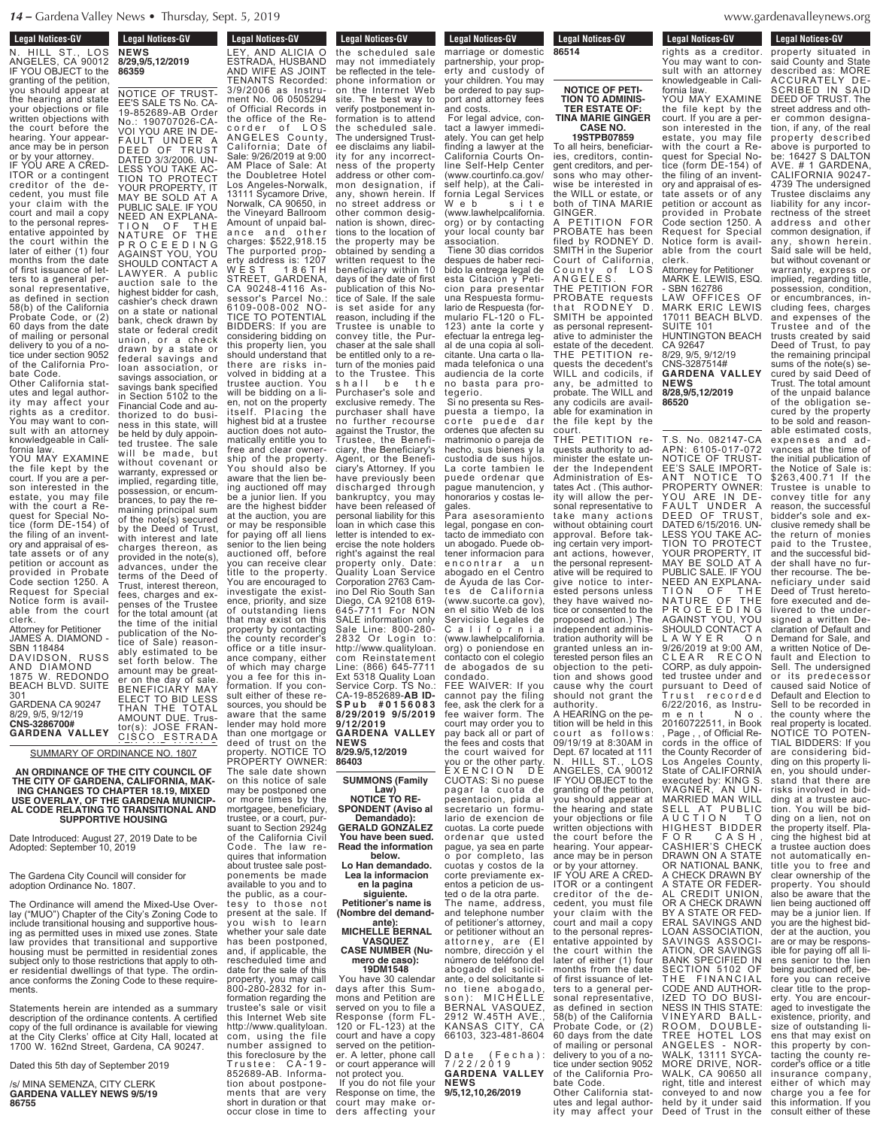**86359**

### **Legal Notices-GV** Legal Nutrices-GV

N. HILL ST., LOS ANGELES, CA 90012 IF YOU OBJECT to the granting of the petition, you should appear at the hearing and state your objections or file written objections with the court before the hearing. Your appearance may be in person or by your attorney.

IF YOU ARE A CRED-ITOR or a contingent creditor of the decedent, you must file your claim with the court and mail a copy to the personal representative appointed by the court within the later of either (1) four months from the date of first issuance of letters to a general personal representative, as defined in section 58(b) of the California Probate Code, or (2) 60 days from the date of mailing or personal delivery to you of a notice under section 9052 of the California Probate Code.

Other California statutes and legal authority may affect your rights as a creditor. You may want to consult with an attorney knowledgeable in Cali-

fornia law.<br>YOU MA MAY EXAMINE the file kept by the court. If you are a person interested in the estate, you may file with the court a Request for Special Notice (form DE-154) of the filing of an inventory and appraisal of estate assets or of any petition or account as provided in Probate Code section 1250. A Request for Special Notice form is available from the court clerk.

Attorney for Petitioner JAMES A. DIAMOND SBN 118484

DAVIDSON, RUSS AND DIAMOND REDONDO BEACH BLVD. SUITE 301<br>GARDENA CA 90247 GARDENA CA 90247

8/29, 9/5, 9/12/19 **CNS-3286700# GARDENA VALLEY**

**SUMMARY OF ORDINANCE NO. 1807 NEWS** <u>INANCE NO. 1807</u>

**AN ORDINANCE OF THE CITY COUNCIL OF THE CITY OF GARDENA, CALIFORNIA, MAK-ING CHANGES TO CHAPTER 18.19, MIXED USE OVERLAY, OF THE GARDENA MUNICIP-AL CODE RELATING TO TRANSITIONAL AND** SUPPORTIVE HOUSING **86359** AND WIFE AS JOINT IE CITY COUNCIL OF 1, CALIFORNIA, MAK-<br>1975 as 1990 APTER 18.19, MIXED<br>: 04 DDENA MUNICIP : GARDENA MUNICIP-<br>. TRANGITIONAL AND , IRANSITIONAL AND<br>- UQUANO

Date Introduced: August 27, 2019 Date to be Adopted: September 10, 2019  $\Omega$ , 2019 Date to be

### The Gardena City Council will consider for adoption Ordinance No. 1807. Will consider for<br>007

The Ordinance will amend the Mixed-Use Over-The Ordinance will amend the Mixed-Use Over-<br>lay ("MUO") Chapter of the City's Zoning Code to include transitional housing and supportive housing as permitted uses in mixed use zones. State law provides that transitional and supportive housing must be permitted in residential zones subject only to those restrictions that apply to other residential dwellings of that type. The ordiner residential dwellings of that type. The ordin-<br>ance conforms the Zoning Code to these requirements. e City's Zoning Code to nixed use zones. State tional and supportive ed in residential zones ) Code to these require-

Statements herein are intended as a summary Statements nerein are intended as a summary<br>description of the ordinance contents. A certified copy of the full ordinance is available for viewing<br>at the City Clerks' office at City Hall, located at 1700 W. 162nd Street, Gardena, CA 90247. ce contents. A certified at City Hall, located at

Dated this 5th day of September 2019 ember 2019

/s/ MINA SEMENZA, CITY CLERK **GARDENA VALLEY NEWS 9/5/19 86755**  $\epsilon$  at  $\epsilon$  and  $\epsilon$  $\mu$ olek $\mu$ on a li- $\mu$ on a li- $\mu$ on a li $v$ s 9/5/19

## $L$ egal Notices-GV **NEWS 8/29,9/5,12/2019**

NOTICE OF TRUST-EE'S SALE TS No. CA-19-852689-AB Order No.: 190707026-CA-VOI YOU ARE IN DE-FAULT UNDER A DEED OF TRUST DATED 3/3/2006. UN-LESS YOU TAKE AC-TION TO PROTECT YOUR PROPERTY, IT MAY BE SOLD AT A PUBLIC SALE. IF YOU NEED AN EXPLANA-TION OF THE NATURE OF THE P R O C E E D I N G AGAINST YOU, YOU SHOULD CONTACT A LAWYER. A public auction sale to the highest bidder for cash cashier's check drawn on a state or national bank, check drawn by state or federal credit union, or a check drawn by a state or federal savings and loan association, or savings association, or savings bank specified in Section 5102 to the Financial Code and authorized to do business in this state, will be held by duly appointed trustee. The sale will be made, but without covenant or warranty, expressed or implied, regarding title, possession, or encumbrances, to pay the remaining principal sum of the note(s) secured by the Deed of Trust, with interest and late<br>charges thereon as charges thereon, provided in the note(s), advances, under the terms of the Deed of Trust, interest thereon, fees, charges and expenses of the Trustee for the total amount (at the time of the initial publication of the Notice of Sale) reasonably estimated to be set forth below. The amount may be greater on the day of sale. BENEFICIARY MAY ELECT TO BID LESS THAN THE TOTAL AMOUNT DUE. Trustor(s): JOSE FRAN-CISCO ESTRADA LEY, AND ALICIA O ESTRADA, HUSBAND AND WIFE AS JOINT TENANTS Recorded:  $3/9/2006$  as ment No. 06 0505294 of Official Records in the office of the Recorder of LOS ANGELES County, California; Date of Sale: 9/26/2019 at 9:00 AM Place of Sale: At the Doubletree Hotel Los Angeles-Norwalk, 13111 Sycamore Drive, Norwalk, CA 90650, in the Vineyard Ballroom Amount of unpaid bal-<br>ance and other ance and other charges: \$522,918.15 The purported property address is: 1207 W E S T 186 T H STREET, GARDENA, CA 90248-4116 Assessor's Parcel No.: 6109-008-002 NO-TICE TO POTENTIAL BIDDERS: If you are considering bidding on this property lien, you should understand that there are risks involved in bidding at a trustee auction. You will be bidding on a lien, not on the property itself. Placing the highest bid at a trustee auction does not automatically entitle you to free and clear ownership of the property. You should also be aware that the lien being auctioned off may be a junior lien. If you are the highest bidder at the auction, you are or may be responsible for paying off all liens senior to the lien being auctioned off, before you can receive clear title to the property. You are encouraged to investigate the existence, priority, and size of outstanding liens that may exist on this property by contacting the county recorder's office or a title insurance company, either of which may charge you a fee for this information. If you consult either of these resources, you should be aware that the same lender may hold more than one mortgage or deed of trust on the property. NOTICE TO

**Legal Notices-GV** 

Legal Nutices-GV

PROPERTY OWNER: The sale date shown on this notice of sale may be postponed one or more times by the mortgagee, beneficiary, trustee, or a court, pur-suant to Section 2924g of the California Civil Code. The law requires that information about trustee sale postponements be made available to you and to the public, as a courtesy to those not present at the sale. If you wish to learn whether your sale date has been postponed, and, if applicable, the rescheduled time and date for the sale of this property, you may call 800-280-2832 for information regarding the trustee's sale or visit this Internet Web site http://www.qualityloan. com, using the file number assigned to

occur close in time to

this foreclosure by the Trustee: CA-19-852689-AB. Information about postponements that are very short in duration or that **CASE NUMBER (Numero de caso): 19DM1548** You have 30 calendar days after this Summons and Petition are served on you to file a Response (form FL-120 or FL-123) at the court and have a copy served on the petitioner. A letter, phone call or court apperance will not protect you. If you do not file your Response on time, the court may make or-

**86403**

**Legal Notices-GV** Legal Nutles-GV **Legal Notices-GV** 

the scheduled sale may not immediately be reflected in the telephone information or on the Internet Web site. The best way to verify postponement information is to attend the scheduled sale. The undersigned Trustee disclaims any liability for any incorrectness of the property address or other common designation, if any, shown herein. If no street address or other common designation is shown, directions to the location of the property may be obtained by sending a written request to the beneficiary within 10 days of the date of first publication of this Notice of Sale. If the sale is set aside for any reason, including if the Trustee is unable to convey title, the Pur- $\alpha$  chas,  $\alpha$  is a shall be entitled only to a return of the monies paid to the Trustee. This shall be the Purchaser's sole and exclusive remedy. The purchaser shall have no further recourse against the Trustor, the Trustee, the Beneficiary, the Beneficiary's Agent, or the Beneficiary's Attorney. If you have previously been discharged through bankruptcy, you may have been released of personal liability for this loan in which case this letter is intended to exercise the note holders right's against the real property only. Date:

Legal Nutres-GV marriage or domestic partnership, your property and custody of your children. You may be ordered to pay support and attorney fees and costs.

For legal advice, contact a lawyer immediately. You can get help finding a lawyer at the California Courts Online Self-Help Center (www.courtinfo.ca.gov/ self help), at the California Legal Services W e b s i t e (www.lawhelpcalifornia. org) or by contacting your local county bar association. Tiene 30 dias corridos

despues de haber recibido la entrega legal de esta Citacion y Peticion para presentar una Respuesta formulario de Respuesta (formulario FL-120 o FL-123) ante la corte y efectuar la entrega legal de una copia al solicitante. Una carta o llamada telefonica o una audiencia de la corte no basta para protegerio.

Si no presenta su Respuesta a tiempo, la corte puede dar ordenes que afecten su matrimonio o pareja de hecho, sus bienes y la custodia de sus hijos. La corte tambien le puede ordenar que pague manutencion, y honorarios y costas legales.

Para asesoramiento legal, pongase en contacto de immediato con un abogado. Puede obtener informacion para encontrar a un abogado en el Centro de Ayuda de las Cortes de California (www.sucorte.ca gov), en el sitio Web de los Servicisio Legales de C a l i f o r n i a (www.lawhelpcalifornia. org) o poniendose en contacto con el colegio de abogados de su

FEE WAIVER: If you cannot pay the filing fee, ask the clerk for a fee waiver form. The court may order you to pay back all or part of the fees and costs that the court waived for you or the other party. EXENCION DE CUOTAS: Si no puese pagar la cuota de pesentacion, pida al secretario un formulario de exencion de cuotas. La corte puede ordenar que usted pague, ya sea en parte o por completo, las cuotas y costos de la corte previamente exentos a peticion de usted o de la otra parte. The name, address, and telephone number of petitioner's attorney, petitioner without an attorney, are (El nombre, dirección y el número de teléfono del del solicitante, o del solicitante si no tiene abogado, son): MICHELLE BERNAL VASQUEZ, 2912 W.45TH AVE., KANSAS CITY, CA 66103, 323-481-8604 Date (Fecha): authority.

7 / 2 2 / 2 0 1 9 **GARDENA VALLEY** bate Code.

Other California statutes and legal authority may affect your<br>.

or by your attorney.

### other california state-**Legal Notices-GV**  $\epsilon$ conditantly non-site  $\epsilon$

denavallevnews.org

**Legal Nutries-GV** property situated in said County and State described as: MORE ACCURATELY DE-SCRIBED IN SAID DEED OF TRUST. The street address and other common designation, if any, of the real property described above is purported to be: 16427 S DALTON AVE. # 1 GARDENA, CALIFORNIA 90247- 4739 The undersigned Trustee disclaims liability for any incorrectness of the street address and other common designation, if any, shown herein. Said sale will be held, but without covenant or warranty, express or implied, regarding title, possession, condition, or encumbrances, including fees, charges and expenses of the Trustee and of the trusts created by said Deed of Trust, to pay the remaining principal sums of the note(s) se-

**Legal Notices-GV Legal Nutices-GV** rights as a creditor. You may want to consult with an attorney

knowledgeable in California law. YOU MAY EXAMINE the file kept by the court. If you are a person interested in the estate, you may file with the court a Request for Special Notice (form DE-154) of the filing of an inventory and appraisal of estate assets or of any petition or account as provided in Probate Code section 1250. A Request for Special Notice form is available from the court clerk. Attorney for Petitioner

County of LOS THE PETITION FOR PROBATE requests that RODNEY D. SMITH be appointed as personal representative to administer the estate of the decedent. THE PETITION requests the decedent's WILL and codicils, if any, be admitted to MARK E. LEWIS, ESQ. SBN 162786 LAW OFFICES OF MARK ERIC LEWIS 17011 BEACH BLVD. SUITE 101 HUNTINGTON BEACH CA 92647 8/29, 9/5, 9/12/19 CNS-3287514# **GARDENA VALLEY**

**NEWS 8/28,9/5,12/2019 86520**

THE PETITION requests authority to administer the estate under the Independent Administration of Estates Act (This authority will allow the personal representative to take many actions without obtaining court approval. Before taking certain very important actions, however, the personal representative will be required to give notice to interested persons unless they have waived notice or consented to the proposed action.) The independent administration authority will be granted unless an interested person files an objection to the petition and shows good cause why the court should not grant the A HEARING on the petition will be held in this court as follows: 09/19/19 at 8:30AM in Dept. 67 located at 111 N. HILL ST., LOS ANGELES, CA 90012 IF YOU OBJECT to the granting of the petition, you should appear at the hearing and state your objections or file written objections with the court before the hearing. Your appearance may be in person IF YOU ARE A CRED-ITOR or a contingent creditor of the decedent, you must file your claim with the court and mail a copy to the personal representative appointed by the court within the later of either (1) four months from the date of first issuance of letters to a general personal representative. as defined in section 58(b) of the California Probate Code, or (2) 60 days from the date of mailing or personal delivery to you of a notice under section 9052 of the California Pro-T.S. No. 082147-CA APN: 6105-017-072 NOTICE OF TRUST-EE'S SALE IMPORT-ANT NOTICE TO PROPERTY OWNER: YOU ARE IN DE-FAULT UNDER A DEED OF TRUST, DATED 6/15/2016. UN-LESS YOU TAKE AC-TION TO PROTECT YOUR PROPERTY, IT MAY BE SOLD AT A PUBLIC SALE. IF YOU NEED AN EXPLANA-TION OF THE NATURE OF THE P R O C E E D I N G AGAINST YOU, YOU SHOULD CONTACT A A W Y E R O n 9/26/2019 at 9:00 AM,<br>CLEAR RECON R E C O N CORP, as duly appointed trustee under and pursuant to Deed of Trust recorded 6/22/2016, as Instrum e n t N o . 20160722511, in Book , Page , , of Official Records in the office of the County Recorder of Los Angeles County, State of CALIFORNIA executed by: KING S. WAGNER, AN UN-MARRIED MAN WILL SELL AT PUBLIC AUCTION TO<br>HIGHEST BIDDER<br>FOR CASH, CASHIER'S CHECK DRAWN ON A STATE OR NATIONAL BANK, A CHECK DRAWN BY A STATE OR FEDER-AL CREDIT UNION, OR A CHECK DRAWN BY A STATE OR FED-ERAL SAVINGS AND LOAN ASSOCIATION, SAVINGS ASSOCI-ATION, OR SAVINGS BANK SPECIFIED IN SECTION 5102 OF THE FINANCIAL CODE AND AUTHOR-IZED TO DO BUSI-NESS IN THIS STATE: VINEYARD BALL-ROOM, DOUBLE-TREE HOTEL LOS ANGELES - NOR-WALK, 13111 SYCA-MORE DRIVE, NOR-WALK, CA 90650 all right, title and interest conveyed to and now held by it under said Deed of Trust in the

cured by said Deed of Trust. The total amount of the unpaid balance of the obligation secured by the property to be sold and reasonable estimated costs, expenses and advances at the time of the initial publication of the Notice of Sale is: \$263,400.71 If the Trustee is unable to convey title for any reason, the successful bidder's sole and exclusive remedy shall be the return of monies paid to the Trustee, and the successful bidder shall have no further recourse. The beneficiary under said Deed of Trust heretofore executed and delivered to the undersigned a written Declaration of Default and Demand for Sale, and a written Notice of Default and Election to Sell. The undersigned or its predecessor caused said Notice of Default and Election to Sell to be recorded in the county where the real property is located. NOTICE TO POTEN-TIAL BIDDERS: If you are considering bidding on this property lien, you should understand that there are risks involved in bidding at a trustee auction. You will be bidding on a lien, not on the property itself. Placing the highest bid at a trustee auction does not automatically entitle you to free and clear ownership of the property. You should also be aware that the lien being auctioned off may be a junior lien. If you are the highest bidder at the auction, you are or may be responsible for paying off all liens senior to the lien being auctioned off, before you can receive clear title to the property. You are encouraged to investigate the existence, priority, and size of outstanding liens that may exist on this property by contacting the county recorder's office or a title insurance company,<br>either of which may either of which may charge you <sup>a</sup> fee for this information. If you consult either of these

## Quality Loan Service Corporation 2763 Camino Del Rio South San Diego, CA 92108 619- 645-7711 For NON SALE information only Sale Line: 800-280- 2832 Or Login to: http://www.qualityloan. com Reinstatement Line: (866) 645-7711 Ext 5318 Quality Loan Service Corp. TS No.: CA-19-852689-**AB ID-S P u b # 0 1 5 6 0 8 3 8/29/2019 9/5/2019 9/12/2019 GARDENA VALLEY NEWS 8/29.9/5,12/2019 SUMMONS (Family Law) NOTICE TO RE-SPONDENT (Aviso al Demandado): GERALD GONZALEZ You have been sued. Read the information below. Lo Han demandado. Lea la informacion en la pagina siguiente. Petitioner's name is (Nombre del demandante): MICHELLE BERNAL VASQUEZ** ders affecting your<br>. condado. **NEWS 9/5,12,10,26/2019**

**Legal Notices-GV 86514 NOTICE OF PETI-**

**Legal Notices-GV** 

**TION TO ADMINIS-TER ESTATE OF: TINA MARIE GINGER CASE NO. 19STPB07859** To all heirs, beneficiaries, creditors, contingent creditors, and persons who may otherwise be interested in the WILL or estate, or both of TINA MARIE

A PETITION FOR PROBATE has been filed by RODNEY D. SMITH in the Superior Court of California,

probate. The WILL and any codicils are available for examination in the file kept by the

court.

GINGER.

A N G E L E S .